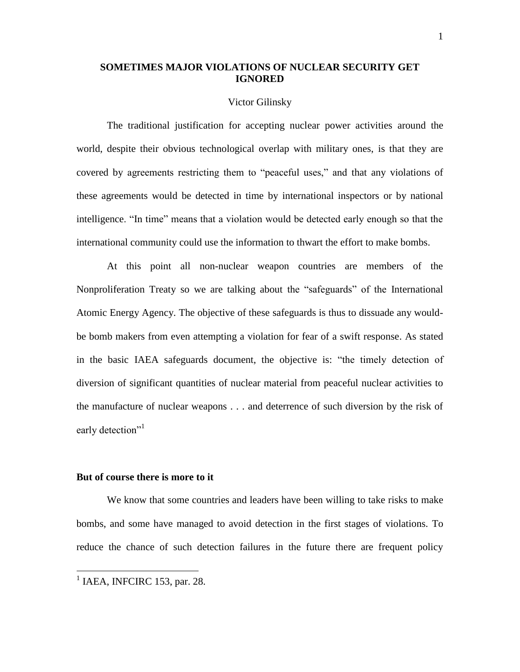# **SOMETIMES MAJOR VIOLATIONS OF NUCLEAR SECURITY GET IGNORED**

#### Victor Gilinsky

The traditional justification for accepting nuclear power activities around the world, despite their obvious technological overlap with military ones, is that they are covered by agreements restricting them to "peaceful uses," and that any violations of these agreements would be detected in time by international inspectors or by national intelligence. "In time" means that a violation would be detected early enough so that the international community could use the information to thwart the effort to make bombs.

At this point all non-nuclear weapon countries are members of the Nonproliferation Treaty so we are talking about the "safeguards" of the International Atomic Energy Agency. The objective of these safeguards is thus to dissuade any wouldbe bomb makers from even attempting a violation for fear of a swift response. As stated in the basic IAEA safeguards document, the objective is: "the timely detection of diversion of significant quantities of nuclear material from peaceful nuclear activities to the manufacture of nuclear weapons . . . and deterrence of such diversion by the risk of early detection"<sup>1</sup>

#### **But of course there is more to it**

We know that some countries and leaders have been willing to take risks to make bombs, and some have managed to avoid detection in the first stages of violations. To reduce the chance of such detection failures in the future there are frequent policy

 $<sup>1</sup>$  IAEA, INFCIRC 153, par. 28.</sup>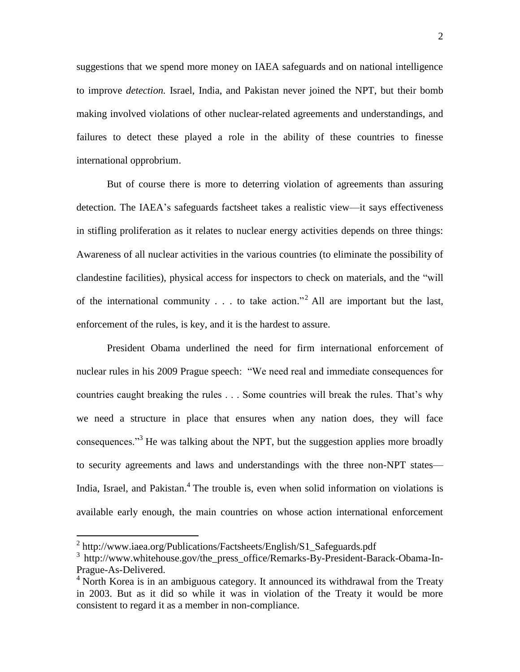suggestions that we spend more money on IAEA safeguards and on national intelligence to improve *detection.* Israel, India, and Pakistan never joined the NPT, but their bomb making involved violations of other nuclear-related agreements and understandings, and failures to detect these played a role in the ability of these countries to finesse international opprobrium.

But of course there is more to deterring violation of agreements than assuring detection. The IAEA's safeguards factsheet takes a realistic view—it says effectiveness in stifling proliferation as it relates to nuclear energy activities depends on three things: Awareness of all nuclear activities in the various countries (to eliminate the possibility of clandestine facilities), physical access for inspectors to check on materials, and the "will of the international community  $\ldots$  to take action.<sup>22</sup> All are important but the last, enforcement of the rules, is key, and it is the hardest to assure.

President Obama underlined the need for firm international enforcement of nuclear rules in his 2009 Prague speech: "We need real and immediate consequences for countries caught breaking the rules . . . Some countries will break the rules. That's why we need a structure in place that ensures when any nation does, they will face consequences.<sup>33</sup> He was talking about the NPT, but the suggestion applies more broadly to security agreements and laws and understandings with the three non-NPT states— India, Israel, and Pakistan.<sup>4</sup> The trouble is, even when solid information on violations is available early enough, the main countries on whose action international enforcement

<sup>&</sup>lt;sup>2</sup> http://www.iaea.org/Publications/Factsheets/English/S1\_Safeguards.pdf

<sup>&</sup>lt;sup>3</sup> http://www.whitehouse.gov/the\_press\_office/Remarks-By-President-Barack-Obama-In-Prague-As-Delivered.

 $4$  North Korea is in an ambiguous category. It announced its withdrawal from the Treaty in 2003. But as it did so while it was in violation of the Treaty it would be more consistent to regard it as a member in non-compliance.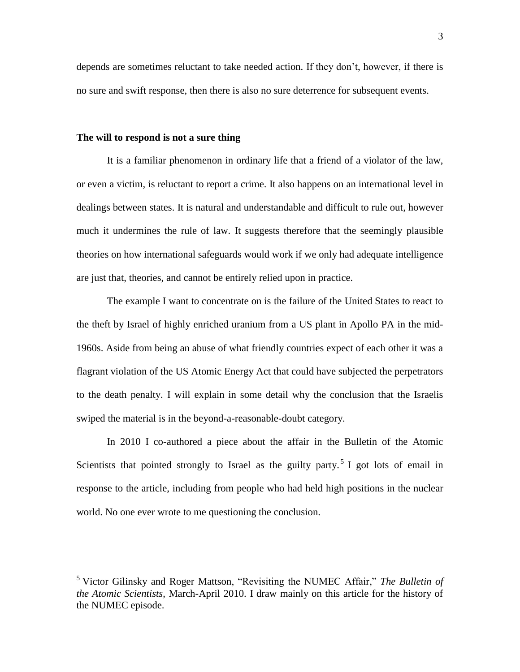depends are sometimes reluctant to take needed action. If they don't, however, if there is no sure and swift response, then there is also no sure deterrence for subsequent events.

### **The will to respond is not a sure thing**

 $\overline{a}$ 

It is a familiar phenomenon in ordinary life that a friend of a violator of the law, or even a victim, is reluctant to report a crime. It also happens on an international level in dealings between states. It is natural and understandable and difficult to rule out, however much it undermines the rule of law. It suggests therefore that the seemingly plausible theories on how international safeguards would work if we only had adequate intelligence are just that, theories, and cannot be entirely relied upon in practice.

The example I want to concentrate on is the failure of the United States to react to the theft by Israel of highly enriched uranium from a US plant in Apollo PA in the mid-1960s. Aside from being an abuse of what friendly countries expect of each other it was a flagrant violation of the US Atomic Energy Act that could have subjected the perpetrators to the death penalty. I will explain in some detail why the conclusion that the Israelis swiped the material is in the beyond-a-reasonable-doubt category.

In 2010 I co-authored a piece about the affair in the Bulletin of the Atomic Scientists that pointed strongly to Israel as the guilty party.<sup>5</sup> I got lots of email in response to the article, including from people who had held high positions in the nuclear world. No one ever wrote to me questioning the conclusion.

<sup>&</sup>lt;sup>5</sup> Victor Gilinsky and Roger Mattson, "Revisiting the NUMEC Affair," *The Bulletin of the Atomic Scientists*, March-April 2010. I draw mainly on this article for the history of the NUMEC episode.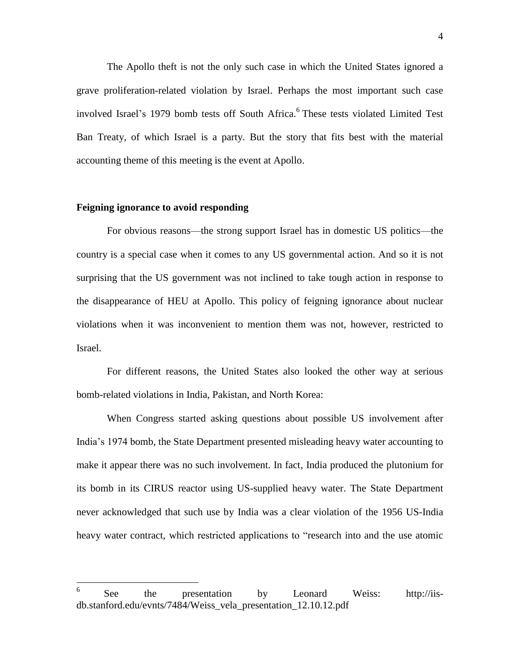The Apollo theft is not the only such case in which the United States ignored a grave proliferation-related violation by Israel. Perhaps the most important such case involved Israel's 1979 bomb tests off South Africa. 6 These tests violated Limited Test Ban Treaty, of which Israel is a party. But the story that fits best with the material accounting theme of this meeting is the event at Apollo.

#### **Feigning ignorance to avoid responding**

For obvious reasons—the strong support Israel has in domestic US politics—the country is a special case when it comes to any US governmental action. And so it is not surprising that the US government was not inclined to take tough action in response to the disappearance of HEU at Apollo. This policy of feigning ignorance about nuclear violations when it was inconvenient to mention them was not, however, restricted to Israel.

For different reasons, the United States also looked the other way at serious bomb-related violations in India, Pakistan, and North Korea:

When Congress started asking questions about possible US involvement after India's 1974 bomb, the State Department presented misleading heavy water accounting to make it appear there was no such involvement. In fact, India produced the plutonium for its bomb in its CIRUS reactor using US-supplied heavy water. The State Department never acknowledged that such use by India was a clear violation of the 1956 US-India heavy water contract, which restricted applications to "research into and the use atomic

 6 See the presentation by Leonard Weiss: http://iisdb.stanford.edu/evnts/7484/Weiss\_vela\_presentation\_12.10.12.pdf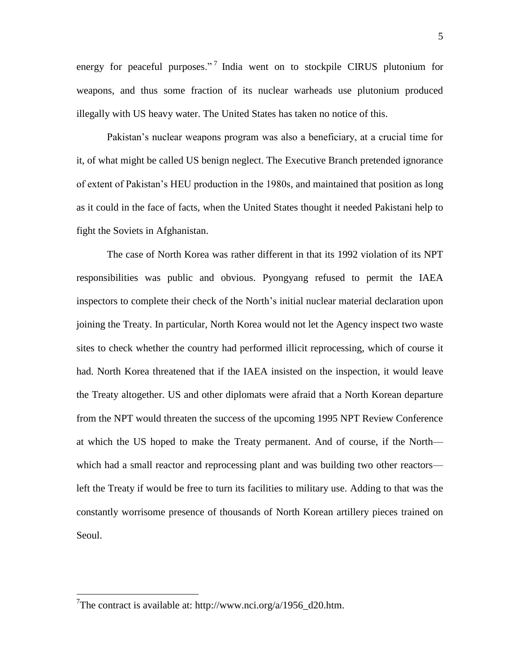energy for peaceful purposes."<sup>7</sup> India went on to stockpile CIRUS plutonium for weapons, and thus some fraction of its nuclear warheads use plutonium produced illegally with US heavy water. The United States has taken no notice of this.

Pakistan's nuclear weapons program was also a beneficiary, at a crucial time for it, of what might be called US benign neglect. The Executive Branch pretended ignorance of extent of Pakistan's HEU production in the 1980s, and maintained that position as long as it could in the face of facts, when the United States thought it needed Pakistani help to fight the Soviets in Afghanistan.

The case of North Korea was rather different in that its 1992 violation of its NPT responsibilities was public and obvious. Pyongyang refused to permit the IAEA inspectors to complete their check of the North's initial nuclear material declaration upon joining the Treaty. In particular, North Korea would not let the Agency inspect two waste sites to check whether the country had performed illicit reprocessing, which of course it had. North Korea threatened that if the IAEA insisted on the inspection, it would leave the Treaty altogether. US and other diplomats were afraid that a North Korean departure from the NPT would threaten the success of the upcoming 1995 NPT Review Conference at which the US hoped to make the Treaty permanent. And of course, if the North which had a small reactor and reprocessing plant and was building two other reactors left the Treaty if would be free to turn its facilities to military use. Adding to that was the constantly worrisome presence of thousands of North Korean artillery pieces trained on Seoul.

<sup>&</sup>lt;sup>7</sup>The contract is available at: http://www.nci.org/a/1956\_d20.htm.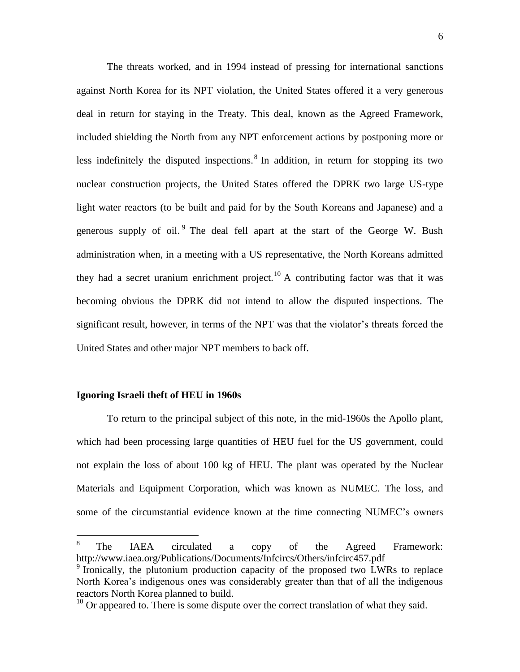The threats worked, and in 1994 instead of pressing for international sanctions against North Korea for its NPT violation, the United States offered it a very generous deal in return for staying in the Treaty. This deal, known as the Agreed Framework, included shielding the North from any NPT enforcement actions by postponing more or less indefinitely the disputed inspections.  $8 \text{ In addition, in return for stopping its two}$ nuclear construction projects, the United States offered the DPRK two large US-type light water reactors (to be built and paid for by the South Koreans and Japanese) and a generous supply of oil.  $9$  The deal fell apart at the start of the George W. Bush administration when, in a meeting with a US representative, the North Koreans admitted they had a secret uranium enrichment project.<sup>10</sup> A contributing factor was that it was becoming obvious the DPRK did not intend to allow the disputed inspections. The significant result, however, in terms of the NPT was that the violator's threats forced the United States and other major NPT members to back off.

### **Ignoring Israeli theft of HEU in 1960s**

To return to the principal subject of this note, in the mid-1960s the Apollo plant, which had been processing large quantities of HEU fuel for the US government, could not explain the loss of about 100 kg of HEU. The plant was operated by the Nuclear Materials and Equipment Corporation, which was known as NUMEC. The loss, and some of the circumstantial evidence known at the time connecting NUMEC's owners

 8 The IAEA circulated a copy of the Agreed Framework: http://www.iaea.org/Publications/Documents/Infcircs/Others/infcirc457.pdf <sup>9</sup> Ironically, the plutonium production capacity of the proposed two LWRs to replace North Korea's indigenous ones was considerably greater than that of all the indigenous reactors North Korea planned to build.

 $10$  Or appeared to. There is some dispute over the correct translation of what they said.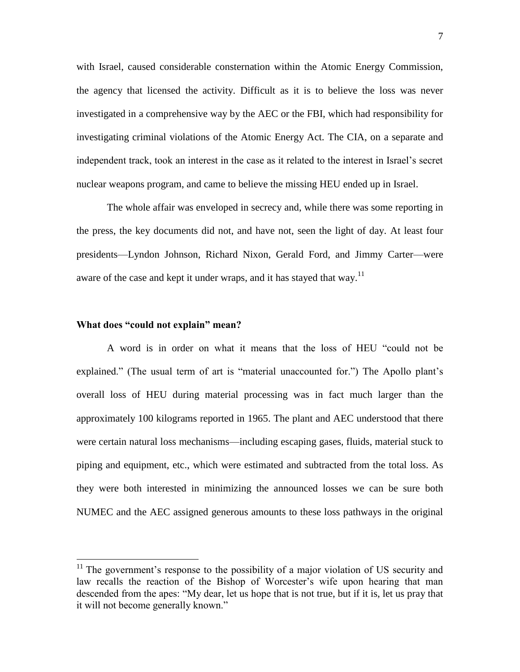with Israel, caused considerable consternation within the Atomic Energy Commission, the agency that licensed the activity. Difficult as it is to believe the loss was never investigated in a comprehensive way by the AEC or the FBI, which had responsibility for investigating criminal violations of the Atomic Energy Act. The CIA, on a separate and independent track, took an interest in the case as it related to the interest in Israel's secret nuclear weapons program, and came to believe the missing HEU ended up in Israel.

The whole affair was enveloped in secrecy and, while there was some reporting in the press, the key documents did not, and have not, seen the light of day. At least four presidents—Lyndon Johnson, Richard Nixon, Gerald Ford, and Jimmy Carter—were aware of the case and kept it under wraps, and it has stayed that way.<sup>11</sup>

#### **What does "could not explain" mean?**

 $\overline{a}$ 

A word is in order on what it means that the loss of HEU "could not be explained." (The usual term of art is "material unaccounted for.") The Apollo plant's overall loss of HEU during material processing was in fact much larger than the approximately 100 kilograms reported in 1965. The plant and AEC understood that there were certain natural loss mechanisms—including escaping gases, fluids, material stuck to piping and equipment, etc., which were estimated and subtracted from the total loss. As they were both interested in minimizing the announced losses we can be sure both NUMEC and the AEC assigned generous amounts to these loss pathways in the original

 $11$  The government's response to the possibility of a major violation of US security and law recalls the reaction of the Bishop of Worcester's wife upon hearing that man descended from the apes: "My dear, let us hope that is not true, but if it is, let us pray that it will not become generally known."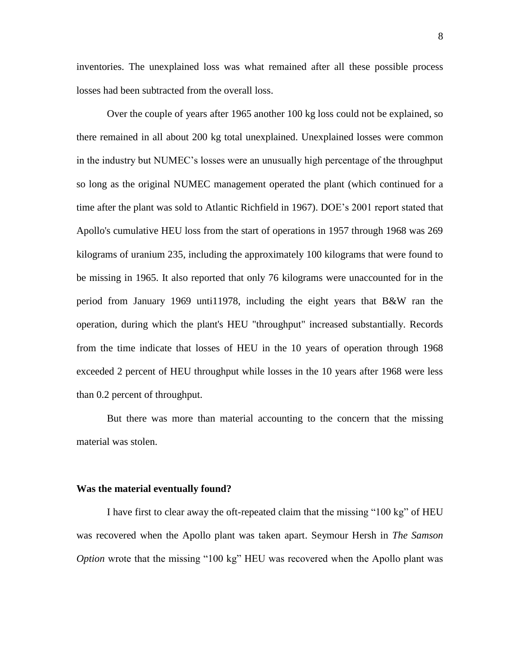inventories. The unexplained loss was what remained after all these possible process losses had been subtracted from the overall loss.

Over the couple of years after 1965 another 100 kg loss could not be explained, so there remained in all about 200 kg total unexplained. Unexplained losses were common in the industry but NUMEC's losses were an unusually high percentage of the throughput so long as the original NUMEC management operated the plant (which continued for a time after the plant was sold to Atlantic Richfield in 1967). DOE's 2001 report stated that Apollo's cumulative HEU loss from the start of operations in 1957 through 1968 was 269 kilograms of uranium 235, including the approximately 100 kilograms that were found to be missing in 1965. It also reported that only 76 kilograms were unaccounted for in the period from January 1969 unti11978, including the eight years that B&W ran the operation, during which the plant's HEU "throughput" increased substantially. Records from the time indicate that losses of HEU in the 10 years of operation through 1968 exceeded 2 percent of HEU throughput while losses in the 10 years after 1968 were less than 0.2 percent of throughput.

But there was more than material accounting to the concern that the missing material was stolen.

#### **Was the material eventually found?**

I have first to clear away the oft-repeated claim that the missing "100 kg" of HEU was recovered when the Apollo plant was taken apart. Seymour Hersh in *The Samson Option* wrote that the missing "100 kg" HEU was recovered when the Apollo plant was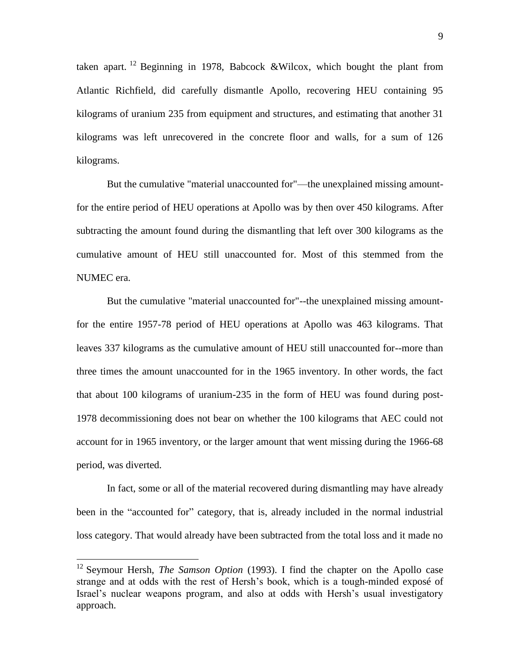taken apart. <sup>12</sup> Beginning in 1978, Babcock &Wilcox, which bought the plant from Atlantic Richfield, did carefully dismantle Apollo, recovering HEU containing 95 kilograms of uranium 235 from equipment and structures, and estimating that another 31 kilograms was left unrecovered in the concrete floor and walls, for a sum of 126 kilograms.

But the cumulative "material unaccounted for"—the unexplained missing amountfor the entire period of HEU operations at Apollo was by then over 450 kilograms. After subtracting the amount found during the dismantling that left over 300 kilograms as the cumulative amount of HEU still unaccounted for. Most of this stemmed from the NUMEC era.

But the cumulative "material unaccounted for"--the unexplained missing amountfor the entire 1957-78 period of HEU operations at Apollo was 463 kilograms. That leaves 337 kilograms as the cumulative amount of HEU still unaccounted for--more than three times the amount unaccounted for in the 1965 inventory. In other words, the fact that about 100 kilograms of uranium-235 in the form of HEU was found during post-1978 decommissioning does not bear on whether the 100 kilograms that AEC could not account for in 1965 inventory, or the larger amount that went missing during the 1966-68 period, was diverted.

In fact, some or all of the material recovered during dismantling may have already been in the "accounted for" category, that is, already included in the normal industrial loss category. That would already have been subtracted from the total loss and it made no

<sup>&</sup>lt;sup>12</sup> Seymour Hersh, *The Samson Option* (1993). I find the chapter on the Apollo case strange and at odds with the rest of Hersh's book, which is a tough-minded exposé of Israel's nuclear weapons program, and also at odds with Hersh's usual investigatory approach.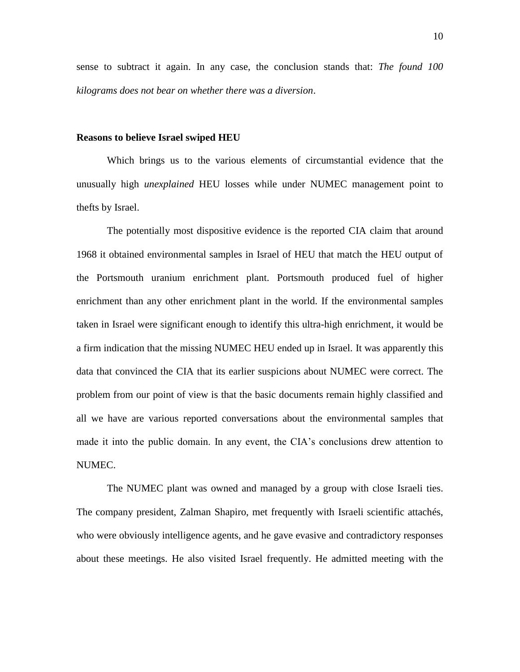sense to subtract it again. In any case, the conclusion stands that: *The found 100 kilograms does not bear on whether there was a diversion*.

#### **Reasons to believe Israel swiped HEU**

Which brings us to the various elements of circumstantial evidence that the unusually high *unexplained* HEU losses while under NUMEC management point to thefts by Israel.

The potentially most dispositive evidence is the reported CIA claim that around 1968 it obtained environmental samples in Israel of HEU that match the HEU output of the Portsmouth uranium enrichment plant. Portsmouth produced fuel of higher enrichment than any other enrichment plant in the world. If the environmental samples taken in Israel were significant enough to identify this ultra-high enrichment, it would be a firm indication that the missing NUMEC HEU ended up in Israel. It was apparently this data that convinced the CIA that its earlier suspicions about NUMEC were correct. The problem from our point of view is that the basic documents remain highly classified and all we have are various reported conversations about the environmental samples that made it into the public domain. In any event, the CIA's conclusions drew attention to NUMEC.

The NUMEC plant was owned and managed by a group with close Israeli ties. The company president, Zalman Shapiro, met frequently with Israeli scientific attachés, who were obviously intelligence agents, and he gave evasive and contradictory responses about these meetings. He also visited Israel frequently. He admitted meeting with the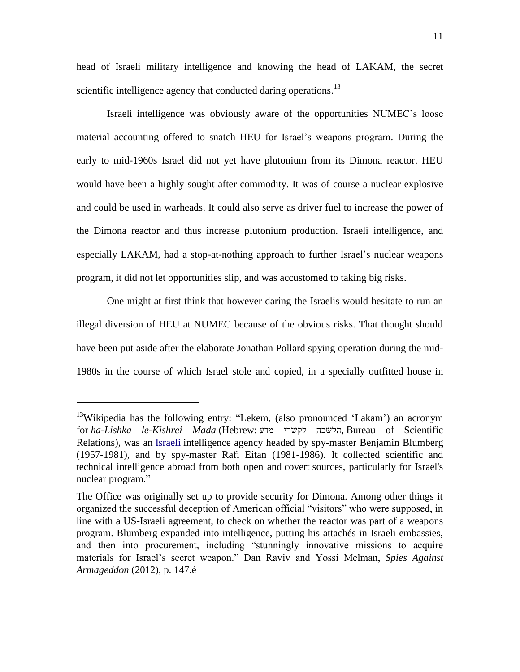head of Israeli military intelligence and knowing the head of LAKAM, the secret scientific intelligence agency that conducted daring operations.<sup>13</sup>

Israeli intelligence was obviously aware of the opportunities NUMEC's loose material accounting offered to snatch HEU for Israel's weapons program. During the early to mid-1960s Israel did not yet have plutonium from its Dimona reactor. HEU would have been a highly sought after commodity. It was of course a nuclear explosive and could be used in warheads. It could also serve as driver fuel to increase the power of the Dimona reactor and thus increase plutonium production. Israeli intelligence, and especially LAKAM, had a stop-at-nothing approach to further Israel's nuclear weapons program, it did not let opportunities slip, and was accustomed to taking big risks.

One might at first think that however daring the Israelis would hesitate to run an illegal diversion of HEU at NUMEC because of the obvious risks. That thought should have been put aside after the elaborate Jonathan Pollard spying operation during the mid-1980s in the course of which Israel stole and copied, in a specially outfitted house in

<sup>&</sup>lt;sup>13</sup>Wikipedia has the following entry: "Lekem, (also pronounced 'Lakam') an acronym for ha-Lishka le-Kishrei Mada (Hebrew: הלשכה לקשרי, Bureau of Scientific Relations), was an [Israeli](http://en.wikipedia.org/wiki/Israel) intelligence agency headed by spy-master Benjamin Blumberg (1957-1981), and by spy-master Rafi Eitan (1981-1986). It collected scientific and technical intelligence abroad from both open and covert sources, particularly for Israel's nuclear program."

The Office was originally set up to provide security for Dimona. Among other things it organized the successful deception of American official "visitors" who were supposed, in line with a US-Israeli agreement, to check on whether the reactor was part of a weapons program. Blumberg expanded into intelligence, putting his attachés in Israeli embassies, and then into procurement, including "stunningly innovative missions to acquire materials for Israel's secret weapon.‖ Dan Raviv and Yossi Melman, *Spies Against Armageddon* (2012), p. 147.é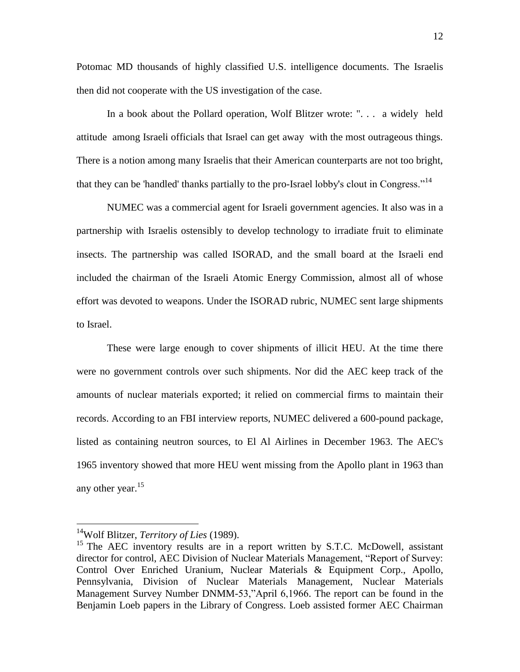Potomac MD thousands of highly classified U.S. intelligence documents. The Israelis then did not cooperate with the US investigation of the case.

In a book about the Pollard operation, Wolf Blitzer wrote: ". . . a widely held attitude among Israeli officials that Israel can get away with the most outrageous things. There is a notion among many Israelis that their American counterparts are not too bright, that they can be 'handled' thanks partially to the pro-Israel lobby's clout in Congress."<sup>14</sup>

NUMEC was a commercial agent for Israeli government agencies. It also was in a partnership with Israelis ostensibly to develop technology to irradiate fruit to eliminate insects. The partnership was called ISORAD, and the small board at the Israeli end included the chairman of the Israeli Atomic Energy Commission, almost all of whose effort was devoted to weapons. Under the ISORAD rubric, NUMEC sent large shipments to Israel.

These were large enough to cover shipments of illicit HEU. At the time there were no government controls over such shipments. Nor did the AEC keep track of the amounts of nuclear materials exported; it relied on commercial firms to maintain their records. According to an FBI interview reports, NUMEC delivered a 600-pound package, listed as containing neutron sources, to El Al Airlines in December 1963. The AEC's 1965 inventory showed that more HEU went missing from the Apollo plant in 1963 than any other year. $15$ 

<sup>14</sup>Wolf Blitzer, *Territory of Lies* (1989).

 $15$  The AEC inventory results are in a report written by S.T.C. McDowell, assistant director for control, AEC Division of Nuclear Materials Management, "Report of Survey: Control Over Enriched Uranium, Nuclear Materials & Equipment Corp., Apollo, Pennsylvania, Division of Nuclear Materials Management, Nuclear Materials Management Survey Number DNMM-53,"April 6,1966. The report can be found in the Benjamin Loeb papers in the Library of Congress. Loeb assisted former AEC Chairman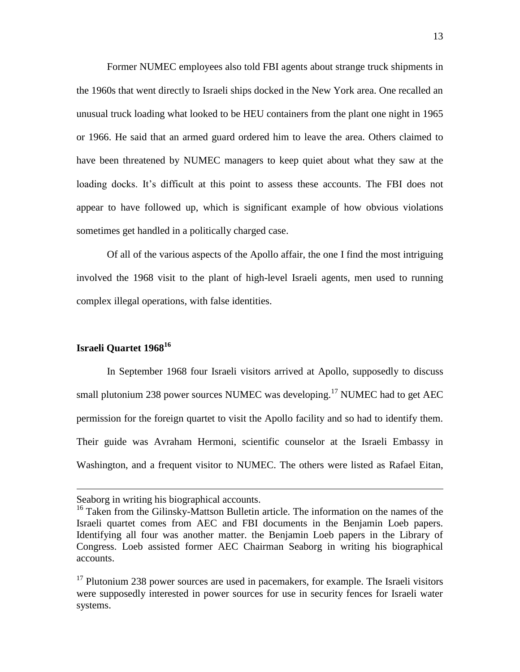Former NUMEC employees also told FBI agents about strange truck shipments in the 1960s that went directly to Israeli ships docked in the New York area. One recalled an unusual truck loading what looked to be HEU containers from the plant one night in 1965 or 1966. He said that an armed guard ordered him to leave the area. Others claimed to have been threatened by NUMEC managers to keep quiet about what they saw at the loading docks. It's difficult at this point to assess these accounts. The FBI does not appear to have followed up, which is significant example of how obvious violations sometimes get handled in a politically charged case.

Of all of the various aspects of the Apollo affair, the one I find the most intriguing involved the 1968 visit to the plant of high-level Israeli agents, men used to running complex illegal operations, with false identities.

# **Israeli Quartet 1968<sup>16</sup>**

 $\overline{a}$ 

In September 1968 four Israeli visitors arrived at Apollo, supposedly to discuss small plutonium 238 power sources NUMEC was developing.<sup>17</sup> NUMEC had to get AEC permission for the foreign quartet to visit the Apollo facility and so had to identify them. Their guide was Avraham Hermoni, scientific counselor at the Israeli Embassy in Washington, and a frequent visitor to NUMEC. The others were listed as Rafael Eitan,

Seaborg in writing his biographical accounts.

<sup>&</sup>lt;sup>16</sup> Taken from the Gilinsky-Mattson Bulletin article. The information on the names of the Israeli quartet comes from AEC and FBI documents in the Benjamin Loeb papers. Identifying all four was another matter. the Benjamin Loeb papers in the Library of Congress. Loeb assisted former AEC Chairman Seaborg in writing his biographical accounts.

 $17$  Plutonium 238 power sources are used in pacemakers, for example. The Israeli visitors were supposedly interested in power sources for use in security fences for Israeli water systems.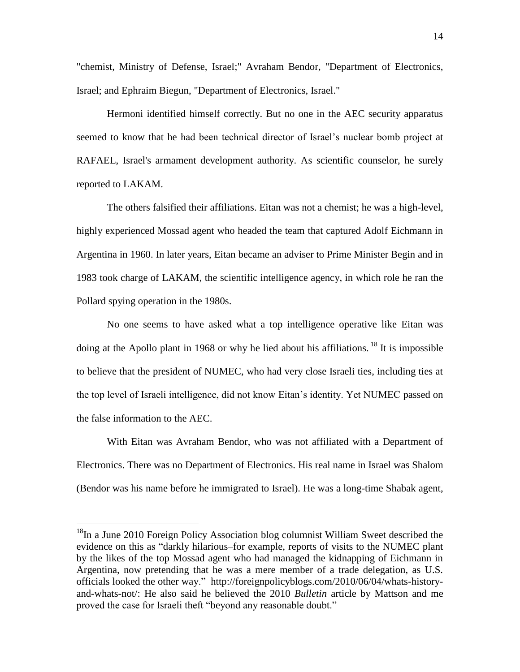"chemist, Ministry of Defense, Israel;" Avraham Bendor, "Department of Electronics, Israel; and Ephraim Biegun, "Department of Electronics, Israel."

Hermoni identified himself correctly. But no one in the AEC security apparatus seemed to know that he had been technical director of Israel's nuclear bomb project at RAFAEL, Israel's armament development authority. As scientific counselor, he surely reported to LAKAM.

The others falsified their affiliations. Eitan was not a chemist; he was a high-level, highly experienced Mossad agent who headed the team that captured Adolf Eichmann in Argentina in 1960. In later years, Eitan became an adviser to Prime Minister Begin and in 1983 took charge of LAKAM, the scientific intelligence agency, in which role he ran the Pollard spying operation in the 1980s.

No one seems to have asked what a top intelligence operative like Eitan was doing at the Apollo plant in 1968 or why he lied about his affiliations. <sup>18</sup> It is impossible to believe that the president of NUMEC, who had very close Israeli ties, including ties at the top level of Israeli intelligence, did not know Eitan's identity. Yet NUMEC passed on the false information to the AEC.

With Eitan was Avraham Bendor, who was not affiliated with a Department of Electronics. There was no Department of Electronics. His real name in Israel was Shalom (Bendor was his name before he immigrated to Israel). He was a long-time Shabak agent,

<sup>&</sup>lt;sup>18</sup>In a June 2010 Foreign Policy Association blog columnist William Sweet described the evidence on this as "darkly hilarious–for example, reports of visits to the NUMEC plant by the likes of the top Mossad agent who had managed the kidnapping of Eichmann in Argentina, now pretending that he was a mere member of a trade delegation, as U.S. officials looked the other way.‖ http://foreignpolicyblogs.com/2010/06/04/whats-historyand-whats-not/: He also said he believed the 2010 *Bulletin* article by Mattson and me proved the case for Israeli theft "beyond any reasonable doubt."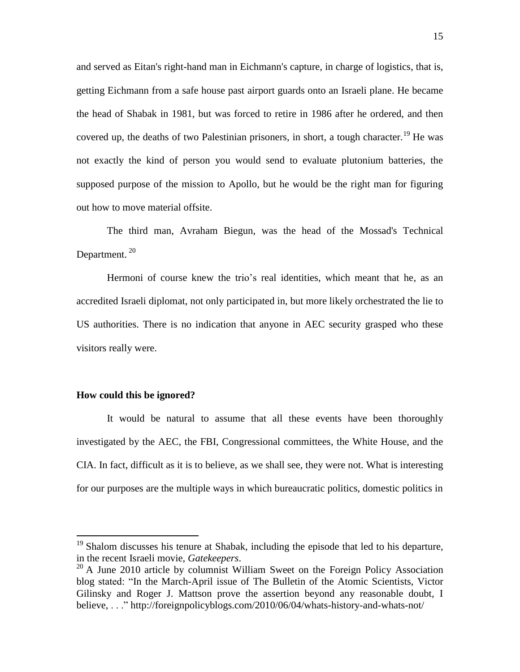and served as Eitan's right-hand man in Eichmann's capture, in charge of logistics, that is, getting Eichmann from a safe house past airport guards onto an Israeli plane. He became the head of Shabak in 1981, but was forced to retire in 1986 after he ordered, and then covered up, the deaths of two Palestinian prisoners, in short, a tough character.<sup>19</sup> He was not exactly the kind of person you would send to evaluate plutonium batteries, the supposed purpose of the mission to Apollo, but he would be the right man for figuring out how to move material offsite.

The third man, Avraham Biegun, was the head of the Mossad's Technical Department.<sup>20</sup>

Hermoni of course knew the trio's real identities, which meant that he, as an accredited Israeli diplomat, not only participated in, but more likely orchestrated the lie to US authorities. There is no indication that anyone in AEC security grasped who these visitors really were.

# **How could this be ignored?**

 $\overline{a}$ 

It would be natural to assume that all these events have been thoroughly investigated by the AEC, the FBI, Congressional committees, the White House, and the CIA. In fact, difficult as it is to believe, as we shall see, they were not. What is interesting for our purposes are the multiple ways in which bureaucratic politics, domestic politics in

 $19$  Shalom discusses his tenure at Shabak, including the episode that led to his departure, in the recent Israeli movie, *Gatekeepers*.

 $20$  A June 2010 article by columnist William Sweet on the Foreign Policy Association blog stated: "In the March-April issue of The Bulletin of the Atomic Scientists, Victor Gilinsky and Roger J. Mattson prove the assertion beyond any reasonable doubt, I believe, ..." http://foreignpolicyblogs.com/2010/06/04/whats-history-and-whats-not/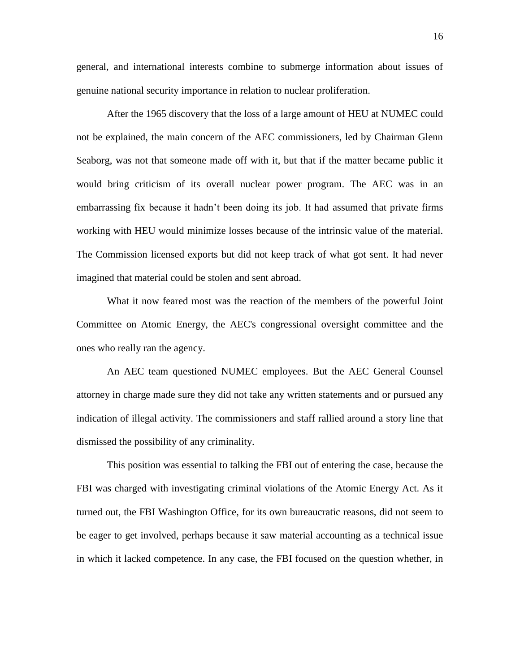general, and international interests combine to submerge information about issues of genuine national security importance in relation to nuclear proliferation.

After the 1965 discovery that the loss of a large amount of HEU at NUMEC could not be explained, the main concern of the AEC commissioners, led by Chairman Glenn Seaborg, was not that someone made off with it, but that if the matter became public it would bring criticism of its overall nuclear power program. The AEC was in an embarrassing fix because it hadn't been doing its job. It had assumed that private firms working with HEU would minimize losses because of the intrinsic value of the material. The Commission licensed exports but did not keep track of what got sent. It had never imagined that material could be stolen and sent abroad.

What it now feared most was the reaction of the members of the powerful Joint Committee on Atomic Energy, the AEC's congressional oversight committee and the ones who really ran the agency.

An AEC team questioned NUMEC employees. But the AEC General Counsel attorney in charge made sure they did not take any written statements and or pursued any indication of illegal activity. The commissioners and staff rallied around a story line that dismissed the possibility of any criminality.

This position was essential to talking the FBI out of entering the case, because the FBI was charged with investigating criminal violations of the Atomic Energy Act. As it turned out, the FBI Washington Office, for its own bureaucratic reasons, did not seem to be eager to get involved, perhaps because it saw material accounting as a technical issue in which it lacked competence. In any case, the FBI focused on the question whether, in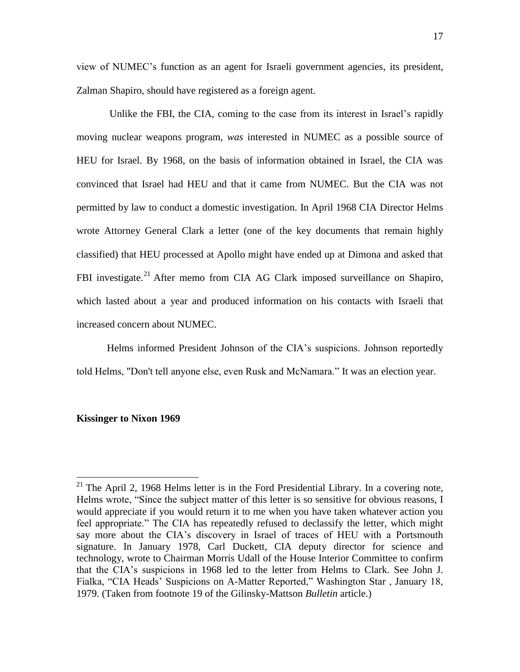view of NUMEC's function as an agent for Israeli government agencies, its president, Zalman Shapiro, should have registered as a foreign agent.

Unlike the FBI, the CIA, coming to the case from its interest in Israel's rapidly moving nuclear weapons program, *was* interested in NUMEC as a possible source of HEU for Israel. By 1968, on the basis of information obtained in Israel, the CIA was convinced that Israel had HEU and that it came from NUMEC. But the CIA was not permitted by law to conduct a domestic investigation. In April 1968 CIA Director Helms wrote Attorney General Clark a letter (one of the key documents that remain highly classified) that HEU processed at Apollo might have ended up at Dimona and asked that FBI investigate.<sup>21</sup> After memo from CIA AG Clark imposed surveillance on Shapiro, which lasted about a year and produced information on his contacts with Israeli that increased concern about NUMEC.

Helms informed President Johnson of the CIA's suspicions. Johnson reportedly told Helms, "Don't tell anyone else, even Rusk and McNamara." It was an election year.

### **Kissinger to Nixon 1969**

<sup>&</sup>lt;sup>21</sup> The April 2, 1968 Helms letter is in the Ford Presidential Library. In a covering note, Helms wrote, "Since the subject matter of this letter is so sensitive for obvious reasons, I would appreciate if you would return it to me when you have taken whatever action you feel appropriate." The CIA has repeatedly refused to declassify the letter, which might say more about the CIA's discovery in Israel of traces of HEU with a Portsmouth signature. In January 1978, Carl Duckett, CIA deputy director for science and technology, wrote to Chairman Morris Udall of the House Interior Committee to confirm that the CIA's suspicions in 1968 led to the letter from Helms to Clark. See John J. Fialka, "CIA Heads' Suspicions on A-Matter Reported," Washington Star, January 18, 1979. (Taken from footnote 19 of the Gilinsky-Mattson *Bulletin* article.)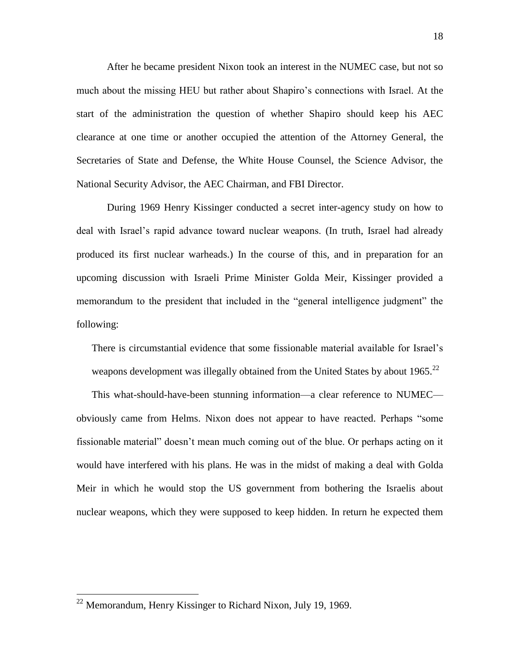After he became president Nixon took an interest in the NUMEC case, but not so much about the missing HEU but rather about Shapiro's connections with Israel. At the start of the administration the question of whether Shapiro should keep his AEC clearance at one time or another occupied the attention of the Attorney General, the Secretaries of State and Defense, the White House Counsel, the Science Advisor, the National Security Advisor, the AEC Chairman, and FBI Director.

During 1969 Henry Kissinger conducted a secret inter-agency study on how to deal with Israel's rapid advance toward nuclear weapons. (In truth, Israel had already produced its first nuclear warheads.) In the course of this, and in preparation for an upcoming discussion with Israeli Prime Minister Golda Meir, Kissinger provided a memorandum to the president that included in the "general intelligence judgment" the following:

There is circumstantial evidence that some fissionable material available for Israel's weapons development was illegally obtained from the United States by about  $1965.<sup>22</sup>$ 

This what-should-have-been stunning information—a clear reference to NUMEC obviously came from Helms. Nixon does not appear to have reacted. Perhaps "some fissionable material" doesn't mean much coming out of the blue. Or perhaps acting on it would have interfered with his plans. He was in the midst of making a deal with Golda Meir in which he would stop the US government from bothering the Israelis about nuclear weapons, which they were supposed to keep hidden. In return he expected them

 $22$  Memorandum, Henry Kissinger to Richard Nixon, July 19, 1969.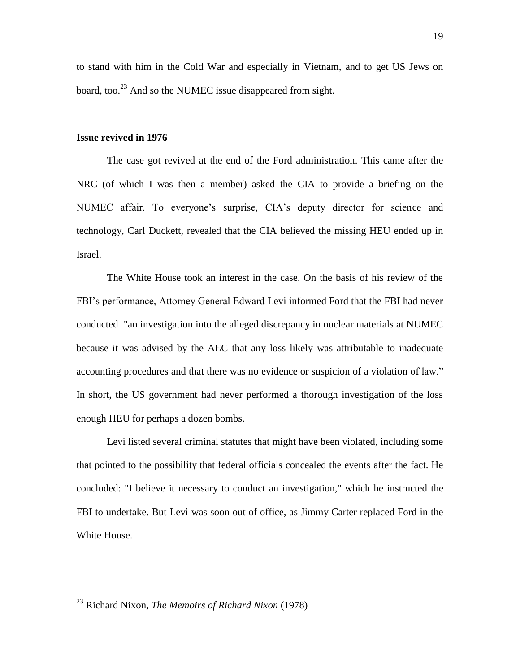to stand with him in the Cold War and especially in Vietnam, and to get US Jews on board, too.<sup>23</sup> And so the NUMEC issue disappeared from sight.

#### **Issue revived in 1976**

The case got revived at the end of the Ford administration. This came after the NRC (of which I was then a member) asked the CIA to provide a briefing on the NUMEC affair. To everyone's surprise, CIA's deputy director for science and technology, Carl Duckett, revealed that the CIA believed the missing HEU ended up in Israel.

The White House took an interest in the case. On the basis of his review of the FBI's performance, Attorney General Edward Levi informed Ford that the FBI had never conducted "an investigation into the alleged discrepancy in nuclear materials at NUMEC because it was advised by the AEC that any loss likely was attributable to inadequate accounting procedures and that there was no evidence or suspicion of a violation of law." In short, the US government had never performed a thorough investigation of the loss enough HEU for perhaps a dozen bombs.

Levi listed several criminal statutes that might have been violated, including some that pointed to the possibility that federal officials concealed the events after the fact. He concluded: "I believe it necessary to conduct an investigation," which he instructed the FBI to undertake. But Levi was soon out of office, as Jimmy Carter replaced Ford in the White House.

<sup>23</sup> Richard Nixon, *The Memoirs of Richard Nixon* (1978)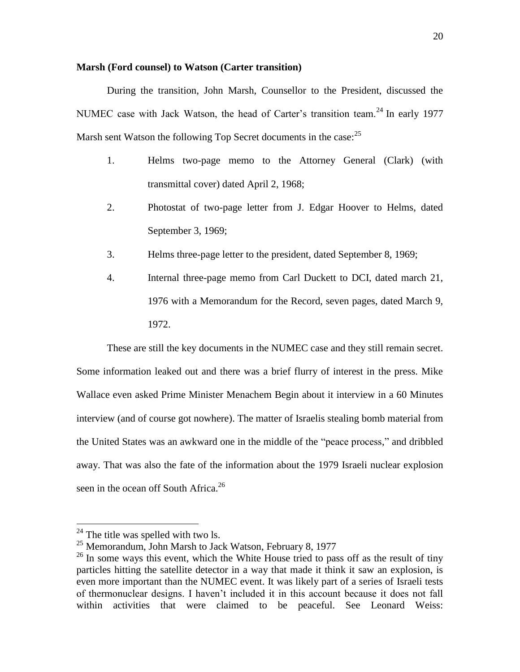# **Marsh (Ford counsel) to Watson (Carter transition)**

During the transition, John Marsh, Counsellor to the President, discussed the NUMEC case with Jack Watson, the head of Carter's transition team.<sup>24</sup> In early 1977 Marsh sent Watson the following Top Secret documents in the case:  $25$ 

- 1. Helms two-page memo to the Attorney General (Clark) (with transmittal cover) dated April 2, 1968;
- 2. Photostat of two-page letter from J. Edgar Hoover to Helms, dated September 3, 1969;
- 3. Helms three-page letter to the president, dated September 8, 1969;
- 4. Internal three-page memo from Carl Duckett to DCI, dated march 21, 1976 with a Memorandum for the Record, seven pages, dated March 9, 1972.

These are still the key documents in the NUMEC case and they still remain secret. Some information leaked out and there was a brief flurry of interest in the press. Mike Wallace even asked Prime Minister Menachem Begin about it interview in a 60 Minutes interview (and of course got nowhere). The matter of Israelis stealing bomb material from the United States was an awkward one in the middle of the "peace process," and dribbled away. That was also the fate of the information about the 1979 Israeli nuclear explosion seen in the ocean off South Africa.<sup>26</sup>

 $24$  The title was spelled with two ls.

<sup>&</sup>lt;sup>25</sup> Memorandum, John Marsh to Jack Watson, February 8, 1977

 $26$  In some ways this event, which the White House tried to pass off as the result of tiny particles hitting the satellite detector in a way that made it think it saw an explosion, is even more important than the NUMEC event. It was likely part of a series of Israeli tests of thermonuclear designs. I haven't included it in this account because it does not fall within activities that were claimed to be peaceful. See Leonard Weiss: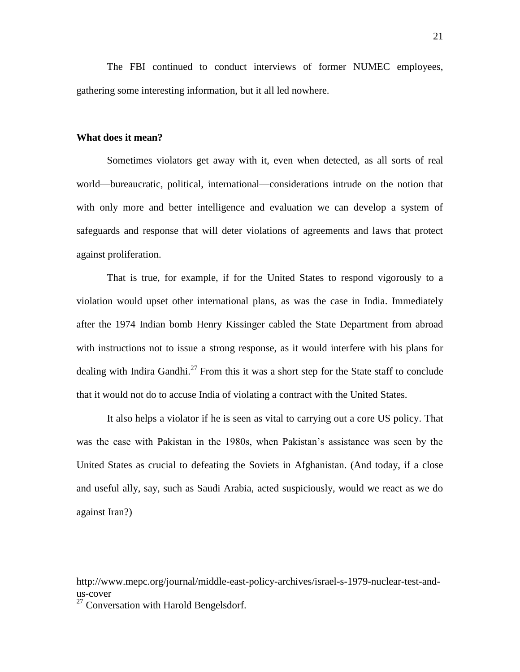The FBI continued to conduct interviews of former NUMEC employees, gathering some interesting information, but it all led nowhere.

#### **What does it mean?**

Sometimes violators get away with it, even when detected, as all sorts of real world—bureaucratic, political, international—considerations intrude on the notion that with only more and better intelligence and evaluation we can develop a system of safeguards and response that will deter violations of agreements and laws that protect against proliferation.

That is true, for example, if for the United States to respond vigorously to a violation would upset other international plans, as was the case in India. Immediately after the 1974 Indian bomb Henry Kissinger cabled the State Department from abroad with instructions not to issue a strong response, as it would interfere with his plans for dealing with Indira Gandhi.<sup>27</sup> From this it was a short step for the State staff to conclude that it would not do to accuse India of violating a contract with the United States.

It also helps a violator if he is seen as vital to carrying out a core US policy. That was the case with Pakistan in the 1980s, when Pakistan's assistance was seen by the United States as crucial to defeating the Soviets in Afghanistan. (And today, if a close and useful ally, say, such as Saudi Arabia, acted suspiciously, would we react as we do against Iran?)

http://www.mepc.org/journal/middle-east-policy-archives/israel-s-1979-nuclear-test-andus-cover

 $27$  Conversation with Harold Bengelsdorf.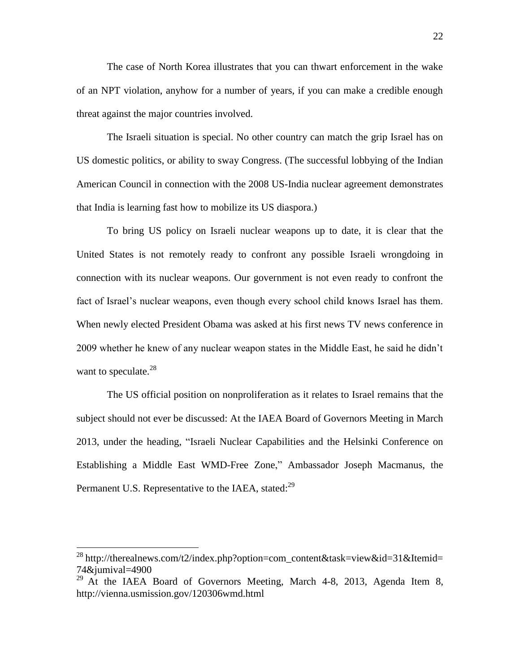The case of North Korea illustrates that you can thwart enforcement in the wake of an NPT violation, anyhow for a number of years, if you can make a credible enough threat against the major countries involved.

The Israeli situation is special. No other country can match the grip Israel has on US domestic politics, or ability to sway Congress. (The successful lobbying of the Indian American Council in connection with the 2008 US-India nuclear agreement demonstrates that India is learning fast how to mobilize its US diaspora.)

To bring US policy on Israeli nuclear weapons up to date, it is clear that the United States is not remotely ready to confront any possible Israeli wrongdoing in connection with its nuclear weapons. Our government is not even ready to confront the fact of Israel's nuclear weapons, even though every school child knows Israel has them. When newly elected President Obama was asked at his first news TV news conference in 2009 whether he knew of any nuclear weapon states in the Middle East, he said he didn't want to speculate. $^{28}$ 

The US official position on nonproliferation as it relates to Israel remains that the subject should not ever be discussed: At the IAEA Board of Governors Meeting in March 2013, under the heading, "Israeli Nuclear Capabilities and the Helsinki Conference on Establishing a Middle East WMD-Free Zone," Ambassador Joseph Macmanus, the Permanent U.S. Representative to the IAEA, stated:<sup>29</sup>

<sup>&</sup>lt;sup>28</sup> http://therealnews.com/t2/index.php?option=com\_content&task=view&id=31&Itemid= 74&jumival=4900

 $29$  At the IAEA Board of Governors Meeting, March 4-8, 2013, Agenda Item 8, http://vienna.usmission.gov/120306wmd.html